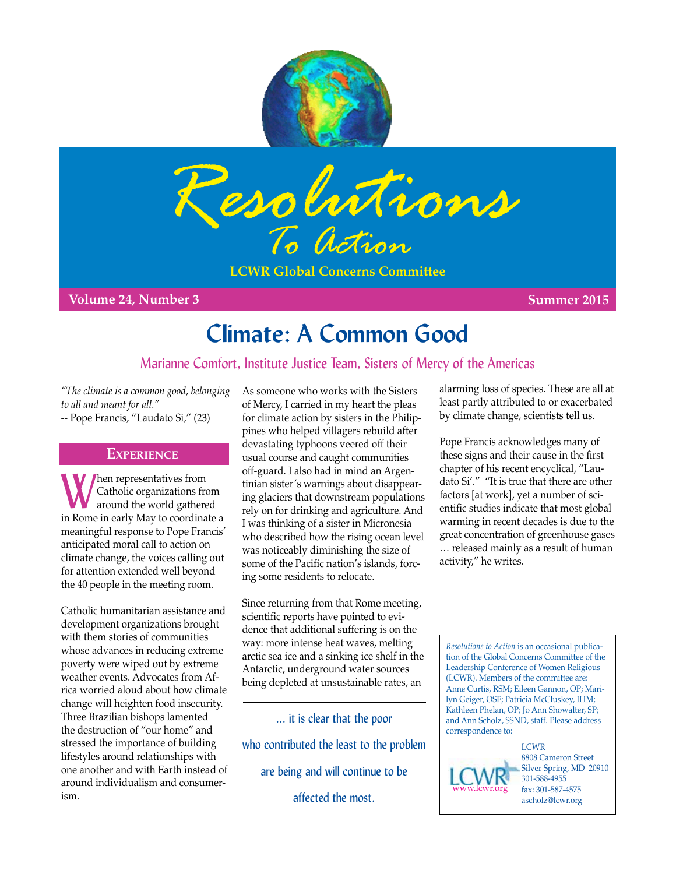



**LCWR Global Concerns Committee**

**Volume 24, Number 3 Summer 2015**

# **Climate: A Common Good**

## Marianne Comfort, Institute Justice Team, Sisters of Mercy of the Americas

*"The climate is a common good, belonging to all and meant for all."*  -- Pope Francis, "Laudato Si," (23)

### **Experience**

Men representatives from<br>
around the world gathered<br>
in Rama in angle May to go adjuste Catholic organizations from in Rome in early May to coordinate a meaningful response to Pope Francis' anticipated moral call to action on climate change, the voices calling out for attention extended well beyond the 40 people in the meeting room.

Catholic humanitarian assistance and development organizations brought with them stories of communities whose advances in reducing extreme poverty were wiped out by extreme weather events. Advocates from Africa worried aloud about how climate change will heighten food insecurity. Three Brazilian bishops lamented the destruction of "our home" and stressed the importance of building lifestyles around relationships with one another and with Earth instead of around individualism and consumerism.

As someone who works with the Sisters of Mercy, I carried in my heart the pleas for climate action by sisters in the Philippines who helped villagers rebuild after devastating typhoons veered off their usual course and caught communities off-guard. I also had in mind an Argentinian sister's warnings about disappearing glaciers that downstream populations rely on for drinking and agriculture. And I was thinking of a sister in Micronesia who described how the rising ocean level was noticeably diminishing the size of some of the Pacific nation's islands, forcing some residents to relocate.

Since returning from that Rome meeting, scientific reports have pointed to evidence that additional suffering is on the way: more intense heat waves, melting arctic sea ice and a sinking ice shelf in the Antarctic, underground water sources being depleted at unsustainable rates, an

... it is clear that the poor who contributed the least to the problem are being and will continue to be affected the most.

alarming loss of species. These are all at least partly attributed to or exacerbated by climate change, scientists tell us.

Pope Francis acknowledges many of these signs and their cause in the first chapter of his recent encyclical, "Laudato Si'." "It is true that there are other factors [at work], yet a number of scientific studies indicate that most global warming in recent decades is due to the great concentration of greenhouse gases … released mainly as a result of human activity," he writes.

*Resolutions to Action* is an occasional publication of the Global Concerns Committee of the Leadership Conference of Women Religious (LCWR). Members of the committee are: Anne Curtis, RSM; Eileen Gannon, OP; Marilyn Geiger, OSF; Patricia McCluskey, IHM; Kathleen Phelan, OP; Jo Ann Showalter, SP; and Ann Scholz, SSND, staff. Please address correspondence to:



8808 Cameron Street Silver Spring, MD 20910 301-588-4955 fax: 301-587-4575 ascholz@lcwr.org